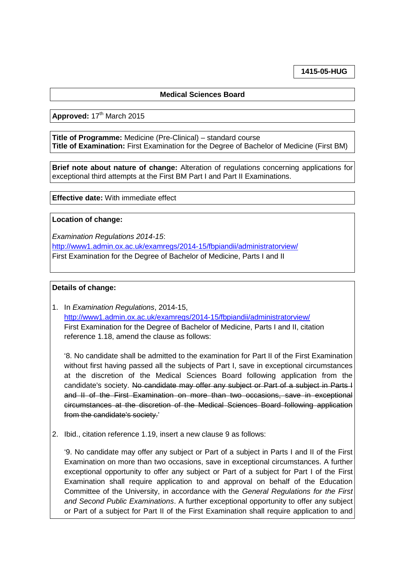**1415-05-HUG**

## **Medical Sciences Board**

Approved: 17<sup>th</sup> March 2015

**Title of Programme:** Medicine (Pre-Clinical) – standard course **Title of Examination:** First Examination for the Degree of Bachelor of Medicine (First BM)

**Brief note about nature of change:** Alteration of regulations concerning applications for exceptional third attempts at the First BM Part I and Part II Examinations.

**Effective date:** With immediate effect

## **Location of change:**

*Examination Regulations 2014-15*: <http://www1.admin.ox.ac.uk/examregs/2014-15/fbpiandii/administratorview/> First Examination for the Degree of Bachelor of Medicine, Parts I and II

## **Details of change:**

1. In *Examination Regulations*, 2014-15, <http://www1.admin.ox.ac.uk/examregs/2014-15/fbpiandii/administratorview/> First Examination for the Degree of Bachelor of Medicine, Parts I and II, citation reference 1.18, amend the clause as follows:

'8. No candidate shall be admitted to the examination for Part II of the First Examination without first having passed all the subjects of Part I, save in exceptional circumstances at the discretion of the Medical Sciences Board following application from the candidate's society. No candidate may offer any subject or Part of a subject in Parts I and II of the First Examination on more than two occasions, save in exceptional circumstances at the discretion of the Medical Sciences Board following application from the candidate's society.'

2. Ibid., citation reference 1.19, insert a new clause 9 as follows:

'9. No candidate may offer any subject or Part of a subject in Parts I and II of the First Examination on more than two occasions, save in exceptional circumstances. A further exceptional opportunity to offer any subject or Part of a subject for Part I of the First Examination shall require application to and approval on behalf of the Education Committee of the University, in accordance with the *General Regulations for the First and Second Public Examinations*. A further exceptional opportunity to offer any subject or Part of a subject for Part II of the First Examination shall require application to and